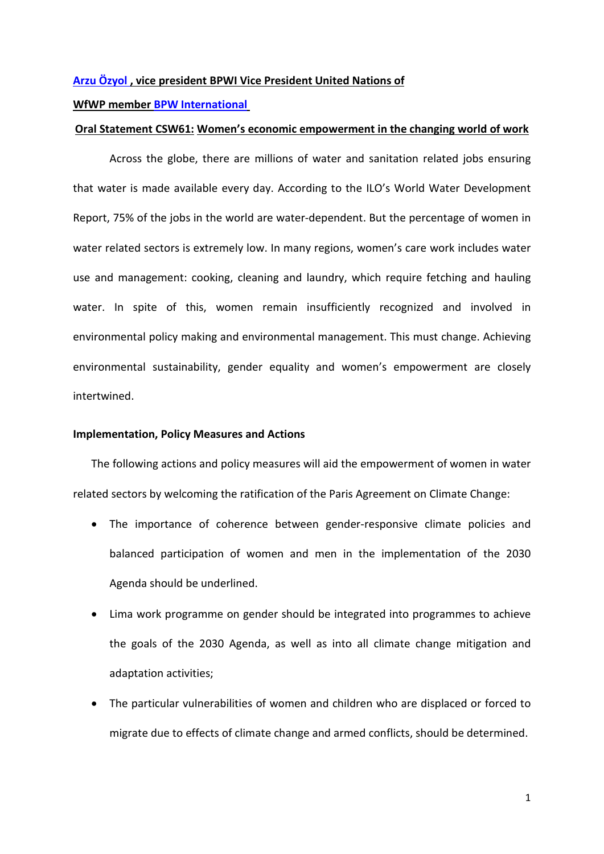## **Arzu [Özyol](https://www.bpw-international.org/vice-president-united-nations/short-cv) , vice president BPWI Vice President United Nations of**

**WfWP member [BPW International](http://www.womenforwater.org/bpwi.html)**

## **Oral Statement CSW61: Women's economic empowerment in the changing world of work**

Across the globe, there are millions of water and sanitation related jobs ensuring that water is made available every day. According to the ILO's World Water Development Report, 75% of the jobs in the world are water-dependent. But the percentage of women in water related sectors is extremely low. In many regions, women's care work includes water use and management: cooking, cleaning and laundry, which require fetching and hauling water. In spite of this, women remain insufficiently recognized and involved in environmental policy making and environmental management. This must change. Achieving environmental sustainability, gender equality and women's empowerment are closely intertwined.

## **Implementation, Policy Measures and Actions**

The following actions and policy measures will aid the empowerment of women in water related sectors by welcoming the ratification of the Paris Agreement on Climate Change:

- The importance of coherence between gender-responsive climate policies and balanced participation of women and men in the implementation of the 2030 Agenda should be underlined.
- Lima work programme on gender should be integrated into programmes to achieve the goals of the 2030 Agenda, as well as into all climate change mitigation and adaptation activities;
- The particular vulnerabilities of women and children who are displaced or forced to migrate due to effects of climate change and armed conflicts, should be determined.